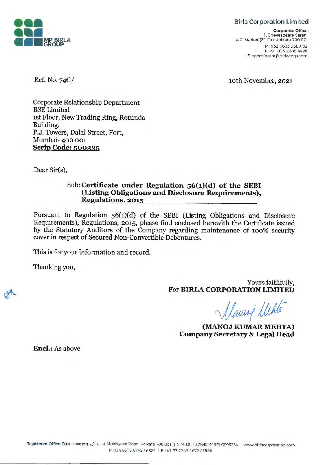

## **Birla Corporation Limited**

**Corporate Office:**  l . Shakespeare Sarani. AC. Market (2"" Fir). Kolkata 700 071 P: 033 6603 3300-02 F: +91 033 2288 4426 E: coordinator@birlacorp.com

10th November, 2021

Ref. No. 74G/

Corporate Relationship Department BSE Limited 1st Floor, New Trading Ring, Rotunda Building, P.J. Towers, Dalal Street, Fort, Mumbai- 400 001 **Scrip Code: 500335** 

Dear Sir(s),

## Sub: **Certificate under Regulation 56(1)(d) of the SEBI (Listing Obligations and Disclosure Requirements), Regulations, 2015**

Pursuant to Regulation 56(1)(d) of the SEBI (Listing Obligations and Disclosure Requirements), Regulations, 2015, please find enclosed herewith the Certificate issued by the Statutory Auditors of the Company regarding maintenance of 100% security cover in respect of Secured Non-Convertible Debentures.

This is for your information and record.

Thanking you,

Yours faithfully, For **BIRIA CORPORATION LIMITED** 

*~ -jjdt-*

**(MANOJ KUMAR MEHTA) Company Secretary & Legal Head** 

**Encl.:** As above